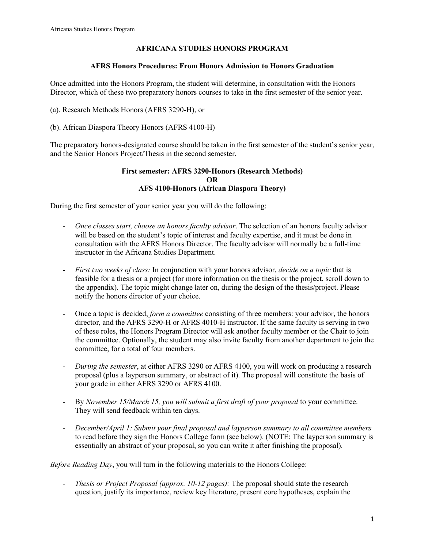## **AFRICANA STUDIES HONORS PROGRAM**

#### **AFRS Honors Procedures: From Honors Admission to Honors Graduation**

Once admitted into the Honors Program, the student will determine, in consultation with the Honors Director, which of these two preparatory honors courses to take in the first semester of the senior year.

- (a). Research Methods Honors (AFRS 3290-H), or
- (b). African Diaspora Theory Honors (AFRS 4100-H)

The preparatory honors-designated course should be taken in the first semester of the student's senior year, and the Senior Honors Project/Thesis in the second semester.

#### **First semester: AFRS 3290-Honors (Research Methods) OR AFS 4100-Honors (African Diaspora Theory)**

During the first semester of your senior year you will do the following:

- *Once classes start, choose an honors faculty advisor*. The selection of an honors faculty advisor will be based on the student's topic of interest and faculty expertise, and it must be done in consultation with the AFRS Honors Director. The faculty advisor will normally be a full-time instructor in the Africana Studies Department.
- *First two weeks of class:* In conjunction with your honors advisor, *decide on a topic* that is feasible for a thesis or a project (for more information on the thesis or the project, scroll down to the appendix). The topic might change later on, during the design of the thesis/project. Please notify the honors director of your choice.
- Once a topic is decided, *form a committee* consisting of three members: your advisor, the honors director, and the AFRS 3290-H or AFRS 4010-H instructor. If the same faculty is serving in two of these roles, the Honors Program Director will ask another faculty member or the Chair to join the committee. Optionally, the student may also invite faculty from another department to join the committee, for a total of four members.
- *During the semester*, at either AFRS 3290 or AFRS 4100, you will work on producing a research proposal (plus a layperson summary, or abstract of it). The proposal will constitute the basis of your grade in either AFRS 3290 or AFRS 4100.
- By *November 15/March 15, you will submit a first draft of your proposal* to your committee. They will send feedback within ten days.
- *December/April 1: Submit your final proposal and layperson summary to all committee members*  to read before they sign the Honors College form (see below). (NOTE: The layperson summary is essentially an abstract of your proposal, so you can write it after finishing the proposal).

*Before Reading Day*, you will turn in the following materials to the Honors College:

- *Thesis or Project Proposal (approx. 10-12 pages):* The proposal should state the research question, justify its importance, review key literature, present core hypotheses, explain the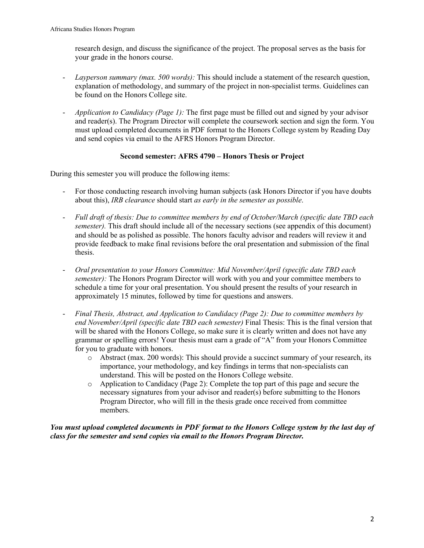research design, and discuss the significance of the project. The proposal serves as the basis for your grade in the honors course.

- *Layperson summary (max. 500 words):* This should include a statement of the research question, explanation of methodology, and summary of the project in non-specialist terms. Guidelines can be found on the Honors College site.
- *Application to Candidacy (Page 1):* The first page must be filled out and signed by your advisor and reader(s). The Program Director will complete the coursework section and sign the form. You must upload completed documents in PDF format to the Honors College system by Reading Day and send copies via email to the AFRS Honors Program Director.

# **Second semester: AFRS 4790 – Honors Thesis or Project**

During this semester you will produce the following items:

- For those conducting research involving human subjects (ask Honors Director if you have doubts about this), *IRB clearance* should start *as early in the semester as possible*.
- *Full draft of thesis: Due to committee members by end of October/March (specific date TBD each semester).* This draft should include all of the necessary sections (see appendix of this document) and should be as polished as possible. The honors faculty advisor and readers will review it and provide feedback to make final revisions before the oral presentation and submission of the final thesis.
- *Oral presentation to your Honors Committee: Mid November/April (specific date TBD each semester):* The Honors Program Director will work with you and your committee members to schedule a time for your oral presentation. You should present the results of your research in approximately 15 minutes, followed by time for questions and answers.
- *Final Thesis, Abstract, and Application to Candidacy (Page 2): Due to committee members by end November/April (specific date TBD each semester)* Final Thesis: This is the final version that will be shared with the Honors College, so make sure it is clearly written and does not have any grammar or spelling errors! Your thesis must earn a grade of "A" from your Honors Committee for you to graduate with honors.
	- o Abstract (max. 200 words): This should provide a succinct summary of your research, its importance, your methodology, and key findings in terms that non-specialists can understand. This will be posted on the Honors College website.
	- o Application to Candidacy (Page 2): Complete the top part of this page and secure the necessary signatures from your advisor and reader(s) before submitting to the Honors Program Director, who will fill in the thesis grade once received from committee members.

*You must upload completed documents in PDF format to the Honors College system by the last day of class for the semester and send copies via email to the Honors Program Director.*